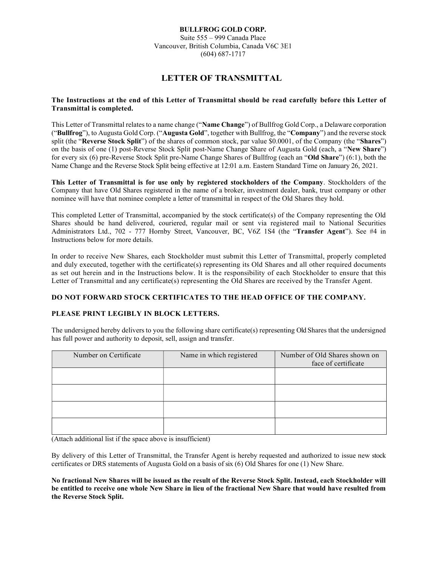#### BULLFROG GOLD CORP.

Suite 555 – 999 Canada Place Vancouver, British Columbia, Canada V6C 3E1 (604) 687-1717

# LETTER OF TRANSMITTAL

## The Instructions at the end of this Letter of Transmittal should be read carefully before this Letter of Transmittal is completed.

This Letter of Transmittal relates to a name change ("Name Change") of Bullfrog Gold Corp., a Delaware corporation ("Bullfrog"), to Augusta Gold Corp. ("Augusta Gold", together with Bullfrog, the "Company") and the reverse stock split (the "Reverse Stock Split") of the shares of common stock, par value \$0.0001, of the Company (the "Shares") on the basis of one (1) post-Reverse Stock Split post-Name Change Share of Augusta Gold (each, a "New Share") for every six (6) pre-Reverse Stock Split pre-Name Change Shares of Bullfrog (each an "Old Share") (6:1), both the Name Change and the Reverse Stock Split being effective at 12:01 a.m. Eastern Standard Time on January 26, 2021.

This Letter of Transmittal is for use only by registered stockholders of the Company. Stockholders of the Company that have Old Shares registered in the name of a broker, investment dealer, bank, trust company or other nominee will have that nominee complete a letter of transmittal in respect of the Old Shares they hold.

This completed Letter of Transmittal, accompanied by the stock certificate(s) of the Company representing the Old Shares should be hand delivered, couriered, regular mail or sent via registered mail to National Securities Administrators Ltd., 702 - 777 Hornby Street, Vancouver, BC, V6Z 1S4 (the "Transfer Agent"). See #4 in Instructions below for more details.

In order to receive New Shares, each Stockholder must submit this Letter of Transmittal, properly completed and duly executed, together with the certificate(s) representing its Old Shares and all other required documents as set out herein and in the Instructions below. It is the responsibility of each Stockholder to ensure that this Letter of Transmittal and any certificate(s) representing the Old Shares are received by the Transfer Agent.

## DO NOT FORWARD STOCK CERTIFICATES TO THE HEAD OFFICE OF THE COMPANY.

## PLEASE PRINT LEGIBLY IN BLOCK LETTERS.

The undersigned hereby delivers to you the following share certificate(s) representing Old Shares that the undersigned has full power and authority to deposit, sell, assign and transfer.

| Number on Certificate | Name in which registered | Number of Old Shares shown on<br>face of certificate |  |
|-----------------------|--------------------------|------------------------------------------------------|--|
|                       |                          |                                                      |  |
|                       |                          |                                                      |  |
|                       |                          |                                                      |  |
|                       |                          |                                                      |  |

(Attach additional list if the space above is insufficient)

By delivery of this Letter of Transmittal, the Transfer Agent is hereby requested and authorized to issue new stock certificates or DRS statements of Augusta Gold on a basis of six (6) Old Shares for one (1) New Share.

No fractional New Shares will be issued as the result of the Reverse Stock Split. Instead, each Stockholder will be entitled to receive one whole New Share in lieu of the fractional New Share that would have resulted from the Reverse Stock Split.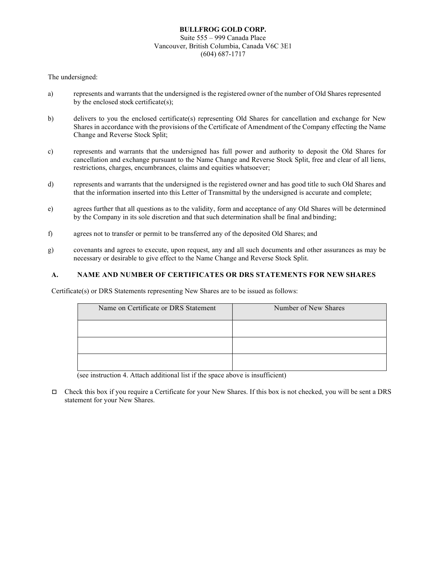## BULLFROG GOLD CORP. Suite 555 – 999 Canada Place Vancouver, British Columbia, Canada V6C 3E1 (604) 687-1717

## The undersigned:

- a) represents and warrants that the undersigned is the registered owner of the number of Old Shares represented by the enclosed stock certificate(s);
- b) delivers to you the enclosed certificate(s) representing Old Shares for cancellation and exchange for New Shares in accordance with the provisions of the Certificate of Amendment of the Company effecting the Name Change and Reverse Stock Split;
- c) represents and warrants that the undersigned has full power and authority to deposit the Old Shares for cancellation and exchange pursuant to the Name Change and Reverse Stock Split, free and clear of all liens, restrictions, charges, encumbrances, claims and equities whatsoever;
- d) represents and warrants that the undersigned is the registered owner and has good title to such Old Shares and that the information inserted into this Letter of Transmittal by the undersigned is accurate and complete;
- e) agrees further that all questions as to the validity, form and acceptance of any Old Shares will be determined by the Company in its sole discretion and that such determination shall be final and binding;
- f) agrees not to transfer or permit to be transferred any of the deposited Old Shares; and
- g) covenants and agrees to execute, upon request, any and all such documents and other assurances as may be necessary or desirable to give effect to the Name Change and Reverse Stock Split.

#### A. NAME AND NUMBER OF CERTIFICATES OR DRS STATEMENTS FOR NEW SHARES

Certificate(s) or DRS Statements representing New Shares are to be issued as follows:

| Name on Certificate or DRS Statement | Number of New Shares |
|--------------------------------------|----------------------|
|                                      |                      |
|                                      |                      |
|                                      |                      |

(see instruction 4. Attach additional list if the space above is insufficient)

 $\Box$  Check this box if you require a Certificate for your New Shares. If this box is not checked, you will be sent a DRS statement for your New Shares.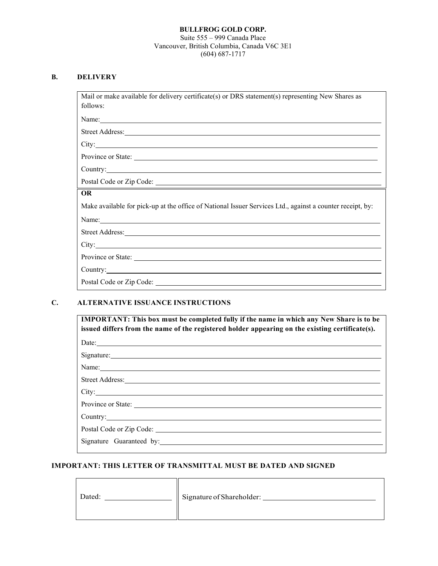#### BULLFROG GOLD CORP. Suite 555 – 999 Canada Place Vancouver, British Columbia, Canada V6C 3E1 (604) 687-1717

## B. DELIVERY

Mail or make available for delivery certificate(s) or DRS statement(s) representing New Shares as follows:

Name:

Street Address:

City:

Province or State:

Country:

Postal Code or Zip Code:

## OR

Make available for pick-up at the office of National Issuer Services Ltd., against a counter receipt, by:

Name:

Street Address:

City:

Ē

Province or State:

Country:

Postal Code or Zip Code:

## C. ALTERNATIVE ISSUANCE INSTRUCTIONS

| <b>IMPORTANT:</b> This box must be completed fully if the name in which any New Share is to be<br>issued differs from the name of the registered holder appearing on the existing certificate(s).                              |  |  |
|--------------------------------------------------------------------------------------------------------------------------------------------------------------------------------------------------------------------------------|--|--|
| Date:                                                                                                                                                                                                                          |  |  |
|                                                                                                                                                                                                                                |  |  |
| Name: Name and the set of the set of the set of the set of the set of the set of the set of the set of the set of the set of the set of the set of the set of the set of the set of the set of the set of the set of the set o |  |  |
| Street Address: No. 2016. The Street Address: No. 2016. The Street Address: No. 2016. The Street Address: No. 2017. The Street Address: No. 2017. The Street Address: No. 2017. The Street Address: No. 2017. The Street Addre |  |  |
|                                                                                                                                                                                                                                |  |  |
| Province or State:                                                                                                                                                                                                             |  |  |
| Country: Country:                                                                                                                                                                                                              |  |  |
|                                                                                                                                                                                                                                |  |  |
| Signature Guaranteed by: 1999 and 2008 and 2009 and 2009 and 2009 and 2009 and 2009 and 2009 and 2009 and 2009 and 2009 and 2009 and 2009 and 2009 and 2009 and 2009 and 2009 and 2009 and 2009 and 2009 and 2009 and 2009 and |  |  |
|                                                                                                                                                                                                                                |  |  |

#### IMPORTANT: THIS LETTER OF TRANSMITTAL MUST BE DATED AND SIGNED

TГ

| Dated: | Signature of Shareholder: |
|--------|---------------------------|
|        |                           |